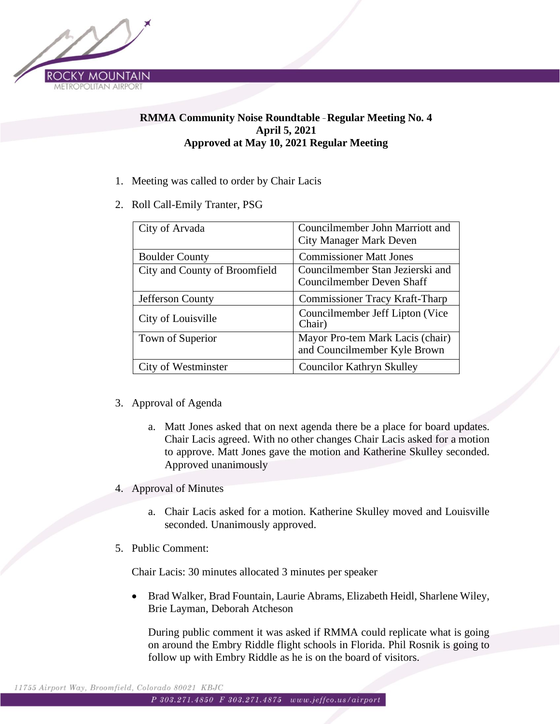

## **RMMA Community Noise Roundtable** – **Regular Meeting No. 4 April 5, 2021 Approved at May 10, 2021 Regular Meeting**

- 1. Meeting was called to order by Chair Lacis
- 2. Roll Call-Emily Tranter, PSG

| City of Arvada                | Councilmember John Marriott and<br><b>City Manager Mark Deven</b> |
|-------------------------------|-------------------------------------------------------------------|
| <b>Boulder County</b>         | <b>Commissioner Matt Jones</b>                                    |
| City and County of Broomfield | Councilmember Stan Jezierski and<br>Councilmember Deven Shaff     |
| Jefferson County              | <b>Commissioner Tracy Kraft-Tharp</b>                             |
| City of Louisville            | Councilmember Jeff Lipton (Vice)<br>Chair)                        |
| Town of Superior              | Mayor Pro-tem Mark Lacis (chair)<br>and Councilmember Kyle Brown  |
| City of Westminster           | <b>Councilor Kathryn Skulley</b>                                  |

- 3. Approval of Agenda
	- a. Matt Jones asked that on next agenda there be a place for board updates. Chair Lacis agreed. With no other changes Chair Lacis asked for a motion to approve. Matt Jones gave the motion and Katherine Skulley seconded. Approved unanimously
- 4. Approval of Minutes
	- a. Chair Lacis asked for a motion. Katherine Skulley moved and Louisville seconded. Unanimously approved.
- 5. Public Comment:

Chair Lacis: 30 minutes allocated 3 minutes per speaker

• Brad Walker, Brad Fountain, Laurie Abrams, Elizabeth Heidl, Sharlene Wiley, Brie Layman, Deborah Atcheson

During public comment it was asked if RMMA could replicate what is going on around the Embry Riddle flight schools in Florida. Phil Rosnik is going to follow up with Embry Riddle as he is on the board of visitors.